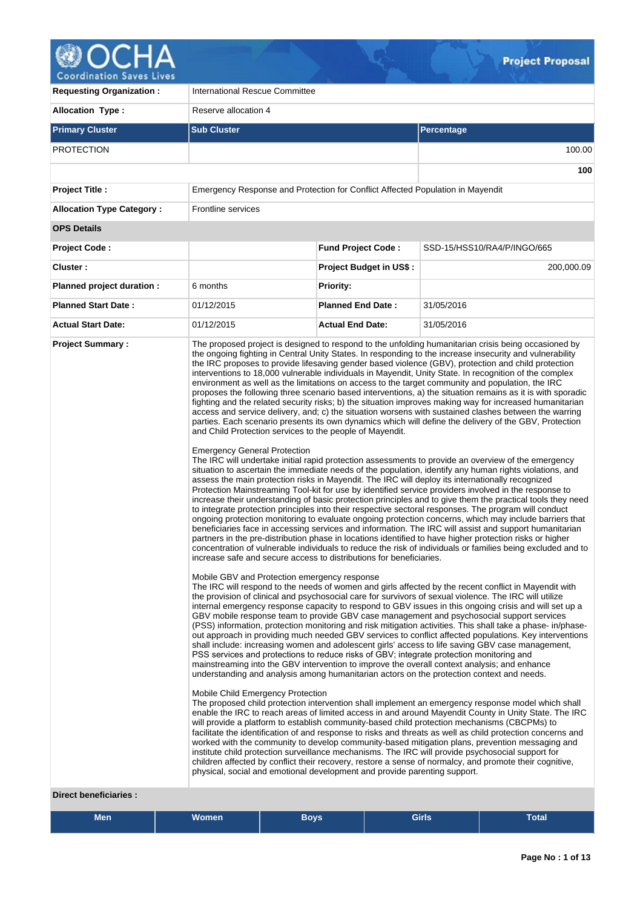

| <b>Allocation Type:</b><br>Reserve allocation 4<br><b>Primary Cluster</b><br><b>Sub Cluster</b><br>Percentage<br><b>PROTECTION</b><br>Emergency Response and Protection for Conflict Affected Population in Mayendit<br><b>Project Title:</b><br>Frontline services<br><b>Allocation Type Category:</b><br><b>OPS Details</b><br><b>Fund Project Code:</b><br>SSD-15/HSS10/RA4/P/INGO/665<br><b>Project Code:</b><br>Cluster:<br><b>Project Budget in US\$:</b><br>Priority:<br>Planned project duration :<br>6 months<br><b>Planned Start Date:</b><br><b>Planned End Date:</b><br>31/05/2016<br>01/12/2015<br><b>Actual Start Date:</b><br>01/12/2015<br><b>Actual End Date:</b><br>31/05/2016<br><b>Project Summary:</b><br>The proposed project is designed to respond to the unfolding humanitarian crisis being occasioned by<br>the ongoing fighting in Central Unity States. In responding to the increase insecurity and vulnerability<br>the IRC proposes to provide lifesaving gender based violence (GBV), protection and child protection<br>interventions to 18,000 vulnerable individuals in Mayendit, Unity State. In recognition of the complex<br>environment as well as the limitations on access to the target community and population, the IRC<br>proposes the following three scenario based interventions, a) the situation remains as it is with sporadic<br>fighting and the related security risks; b) the situation improves making way for increased humanitarian<br>access and service delivery, and; c) the situation worsens with sustained clashes between the warring<br>parties. Each scenario presents its own dynamics which will define the delivery of the GBV, Protection<br>and Child Protection services to the people of Mayendit.<br><b>Emergency General Protection</b><br>The IRC will undertake initial rapid protection assessments to provide an overview of the emergency<br>situation to ascertain the immediate needs of the population, identify any human rights violations, and<br>assess the main protection risks in Mayendit. The IRC will deploy its internationally recognized<br>Protection Mainstreaming Tool-kit for use by identified service providers involved in the response to<br>increase their understanding of basic protection principles and to give them the practical tools they need<br>to integrate protection principles into their respective sectoral responses. The program will conduct<br>ongoing protection monitoring to evaluate ongoing protection concerns, which may include barriers that<br>beneficiaries face in accessing services and information. The IRC will assist and support humanitarian<br>partners in the pre-distribution phase in locations identified to have higher protection risks or higher<br>concentration of vulnerable individuals to reduce the risk of individuals or families being excluded and to<br>increase safe and secure access to distributions for beneficiaries.<br>Mobile GBV and Protection emergency response<br>The IRC will respond to the needs of women and girls affected by the recent conflict in Mayendit with<br>the provision of clinical and psychosocial care for survivors of sexual violence. The IRC will utilize<br>internal emergency response capacity to respond to GBV issues in this ongoing crisis and will set up a<br>GBV mobile response team to provide GBV case management and psychosocial support services<br>(PSS) information, protection monitoring and risk mitigation activities. This shall take a phase- in/phase-<br>out approach in providing much needed GBV services to conflict affected populations. Key interventions<br>shall include: increasing women and adolescent girls' access to life saving GBV case management,<br>PSS services and protections to reduce risks of GBV; integrate protection monitoring and<br>mainstreaming into the GBV intervention to improve the overall context analysis; and enhance<br>understanding and analysis among humanitarian actors on the protection context and needs.<br>Mobile Child Emergency Protection<br>The proposed child protection intervention shall implement an emergency response model which shall<br>enable the IRC to reach areas of limited access in and around Mayendit County in Unity State. The IRC<br>will provide a platform to establish community-based child protection mechanisms (CBCPMs) to<br>facilitate the identification of and response to risks and threats as well as child protection concerns and<br>worked with the community to develop community-based mitigation plans, prevention messaging and | <b>Requesting Organization:</b> | <b>International Rescue Committee</b> |  |            |  |  |  |
|------------------------------------------------------------------------------------------------------------------------------------------------------------------------------------------------------------------------------------------------------------------------------------------------------------------------------------------------------------------------------------------------------------------------------------------------------------------------------------------------------------------------------------------------------------------------------------------------------------------------------------------------------------------------------------------------------------------------------------------------------------------------------------------------------------------------------------------------------------------------------------------------------------------------------------------------------------------------------------------------------------------------------------------------------------------------------------------------------------------------------------------------------------------------------------------------------------------------------------------------------------------------------------------------------------------------------------------------------------------------------------------------------------------------------------------------------------------------------------------------------------------------------------------------------------------------------------------------------------------------------------------------------------------------------------------------------------------------------------------------------------------------------------------------------------------------------------------------------------------------------------------------------------------------------------------------------------------------------------------------------------------------------------------------------------------------------------------------------------------------------------------------------------------------------------------------------------------------------------------------------------------------------------------------------------------------------------------------------------------------------------------------------------------------------------------------------------------------------------------------------------------------------------------------------------------------------------------------------------------------------------------------------------------------------------------------------------------------------------------------------------------------------------------------------------------------------------------------------------------------------------------------------------------------------------------------------------------------------------------------------------------------------------------------------------------------------------------------------------------------------------------------------------------------------------------------------------------------------------------------------------------------------------------------------------------------------------------------------------------------------------------------------------------------------------------------------------------------------------------------------------------------------------------------------------------------------------------------------------------------------------------------------------------------------------------------------------------------------------------------------------------------------------------------------------------------------------------------------------------------------------------------------------------------------------------------------------------------------------------------------------------------------------------------------------------------------------------------------------------------------------------------------------------------------------------------------------------------------------------------------------------------------------------------------------------------------------------------------------------------------------------------------------------------------------------------------------------------------------------------------------------------------------------------------------------------------------------------------------------------------------------------------------------------|---------------------------------|---------------------------------------|--|------------|--|--|--|
|                                                                                                                                                                                                                                                                                                                                                                                                                                                                                                                                                                                                                                                                                                                                                                                                                                                                                                                                                                                                                                                                                                                                                                                                                                                                                                                                                                                                                                                                                                                                                                                                                                                                                                                                                                                                                                                                                                                                                                                                                                                                                                                                                                                                                                                                                                                                                                                                                                                                                                                                                                                                                                                                                                                                                                                                                                                                                                                                                                                                                                                                                                                                                                                                                                                                                                                                                                                                                                                                                                                                                                                                                                                                                                                                                                                                                                                                                                                                                                                                                                                                                                                                                                                                                                                                                                                                                                                                                                                                                                                                                                                                                                                                        |                                 |                                       |  |            |  |  |  |
|                                                                                                                                                                                                                                                                                                                                                                                                                                                                                                                                                                                                                                                                                                                                                                                                                                                                                                                                                                                                                                                                                                                                                                                                                                                                                                                                                                                                                                                                                                                                                                                                                                                                                                                                                                                                                                                                                                                                                                                                                                                                                                                                                                                                                                                                                                                                                                                                                                                                                                                                                                                                                                                                                                                                                                                                                                                                                                                                                                                                                                                                                                                                                                                                                                                                                                                                                                                                                                                                                                                                                                                                                                                                                                                                                                                                                                                                                                                                                                                                                                                                                                                                                                                                                                                                                                                                                                                                                                                                                                                                                                                                                                                                        |                                 |                                       |  |            |  |  |  |
|                                                                                                                                                                                                                                                                                                                                                                                                                                                                                                                                                                                                                                                                                                                                                                                                                                                                                                                                                                                                                                                                                                                                                                                                                                                                                                                                                                                                                                                                                                                                                                                                                                                                                                                                                                                                                                                                                                                                                                                                                                                                                                                                                                                                                                                                                                                                                                                                                                                                                                                                                                                                                                                                                                                                                                                                                                                                                                                                                                                                                                                                                                                                                                                                                                                                                                                                                                                                                                                                                                                                                                                                                                                                                                                                                                                                                                                                                                                                                                                                                                                                                                                                                                                                                                                                                                                                                                                                                                                                                                                                                                                                                                                                        |                                 |                                       |  | 100.00     |  |  |  |
|                                                                                                                                                                                                                                                                                                                                                                                                                                                                                                                                                                                                                                                                                                                                                                                                                                                                                                                                                                                                                                                                                                                                                                                                                                                                                                                                                                                                                                                                                                                                                                                                                                                                                                                                                                                                                                                                                                                                                                                                                                                                                                                                                                                                                                                                                                                                                                                                                                                                                                                                                                                                                                                                                                                                                                                                                                                                                                                                                                                                                                                                                                                                                                                                                                                                                                                                                                                                                                                                                                                                                                                                                                                                                                                                                                                                                                                                                                                                                                                                                                                                                                                                                                                                                                                                                                                                                                                                                                                                                                                                                                                                                                                                        |                                 |                                       |  | 100        |  |  |  |
|                                                                                                                                                                                                                                                                                                                                                                                                                                                                                                                                                                                                                                                                                                                                                                                                                                                                                                                                                                                                                                                                                                                                                                                                                                                                                                                                                                                                                                                                                                                                                                                                                                                                                                                                                                                                                                                                                                                                                                                                                                                                                                                                                                                                                                                                                                                                                                                                                                                                                                                                                                                                                                                                                                                                                                                                                                                                                                                                                                                                                                                                                                                                                                                                                                                                                                                                                                                                                                                                                                                                                                                                                                                                                                                                                                                                                                                                                                                                                                                                                                                                                                                                                                                                                                                                                                                                                                                                                                                                                                                                                                                                                                                                        |                                 |                                       |  |            |  |  |  |
|                                                                                                                                                                                                                                                                                                                                                                                                                                                                                                                                                                                                                                                                                                                                                                                                                                                                                                                                                                                                                                                                                                                                                                                                                                                                                                                                                                                                                                                                                                                                                                                                                                                                                                                                                                                                                                                                                                                                                                                                                                                                                                                                                                                                                                                                                                                                                                                                                                                                                                                                                                                                                                                                                                                                                                                                                                                                                                                                                                                                                                                                                                                                                                                                                                                                                                                                                                                                                                                                                                                                                                                                                                                                                                                                                                                                                                                                                                                                                                                                                                                                                                                                                                                                                                                                                                                                                                                                                                                                                                                                                                                                                                                                        |                                 |                                       |  |            |  |  |  |
|                                                                                                                                                                                                                                                                                                                                                                                                                                                                                                                                                                                                                                                                                                                                                                                                                                                                                                                                                                                                                                                                                                                                                                                                                                                                                                                                                                                                                                                                                                                                                                                                                                                                                                                                                                                                                                                                                                                                                                                                                                                                                                                                                                                                                                                                                                                                                                                                                                                                                                                                                                                                                                                                                                                                                                                                                                                                                                                                                                                                                                                                                                                                                                                                                                                                                                                                                                                                                                                                                                                                                                                                                                                                                                                                                                                                                                                                                                                                                                                                                                                                                                                                                                                                                                                                                                                                                                                                                                                                                                                                                                                                                                                                        |                                 |                                       |  |            |  |  |  |
|                                                                                                                                                                                                                                                                                                                                                                                                                                                                                                                                                                                                                                                                                                                                                                                                                                                                                                                                                                                                                                                                                                                                                                                                                                                                                                                                                                                                                                                                                                                                                                                                                                                                                                                                                                                                                                                                                                                                                                                                                                                                                                                                                                                                                                                                                                                                                                                                                                                                                                                                                                                                                                                                                                                                                                                                                                                                                                                                                                                                                                                                                                                                                                                                                                                                                                                                                                                                                                                                                                                                                                                                                                                                                                                                                                                                                                                                                                                                                                                                                                                                                                                                                                                                                                                                                                                                                                                                                                                                                                                                                                                                                                                                        |                                 |                                       |  |            |  |  |  |
|                                                                                                                                                                                                                                                                                                                                                                                                                                                                                                                                                                                                                                                                                                                                                                                                                                                                                                                                                                                                                                                                                                                                                                                                                                                                                                                                                                                                                                                                                                                                                                                                                                                                                                                                                                                                                                                                                                                                                                                                                                                                                                                                                                                                                                                                                                                                                                                                                                                                                                                                                                                                                                                                                                                                                                                                                                                                                                                                                                                                                                                                                                                                                                                                                                                                                                                                                                                                                                                                                                                                                                                                                                                                                                                                                                                                                                                                                                                                                                                                                                                                                                                                                                                                                                                                                                                                                                                                                                                                                                                                                                                                                                                                        |                                 |                                       |  | 200,000.09 |  |  |  |
|                                                                                                                                                                                                                                                                                                                                                                                                                                                                                                                                                                                                                                                                                                                                                                                                                                                                                                                                                                                                                                                                                                                                                                                                                                                                                                                                                                                                                                                                                                                                                                                                                                                                                                                                                                                                                                                                                                                                                                                                                                                                                                                                                                                                                                                                                                                                                                                                                                                                                                                                                                                                                                                                                                                                                                                                                                                                                                                                                                                                                                                                                                                                                                                                                                                                                                                                                                                                                                                                                                                                                                                                                                                                                                                                                                                                                                                                                                                                                                                                                                                                                                                                                                                                                                                                                                                                                                                                                                                                                                                                                                                                                                                                        |                                 |                                       |  |            |  |  |  |
|                                                                                                                                                                                                                                                                                                                                                                                                                                                                                                                                                                                                                                                                                                                                                                                                                                                                                                                                                                                                                                                                                                                                                                                                                                                                                                                                                                                                                                                                                                                                                                                                                                                                                                                                                                                                                                                                                                                                                                                                                                                                                                                                                                                                                                                                                                                                                                                                                                                                                                                                                                                                                                                                                                                                                                                                                                                                                                                                                                                                                                                                                                                                                                                                                                                                                                                                                                                                                                                                                                                                                                                                                                                                                                                                                                                                                                                                                                                                                                                                                                                                                                                                                                                                                                                                                                                                                                                                                                                                                                                                                                                                                                                                        |                                 |                                       |  |            |  |  |  |
|                                                                                                                                                                                                                                                                                                                                                                                                                                                                                                                                                                                                                                                                                                                                                                                                                                                                                                                                                                                                                                                                                                                                                                                                                                                                                                                                                                                                                                                                                                                                                                                                                                                                                                                                                                                                                                                                                                                                                                                                                                                                                                                                                                                                                                                                                                                                                                                                                                                                                                                                                                                                                                                                                                                                                                                                                                                                                                                                                                                                                                                                                                                                                                                                                                                                                                                                                                                                                                                                                                                                                                                                                                                                                                                                                                                                                                                                                                                                                                                                                                                                                                                                                                                                                                                                                                                                                                                                                                                                                                                                                                                                                                                                        |                                 |                                       |  |            |  |  |  |
| institute child protection surveillance mechanisms. The IRC will provide psychosocial support for<br>children affected by conflict their recovery, restore a sense of normalcy, and promote their cognitive,<br>physical, social and emotional development and provide parenting support.                                                                                                                                                                                                                                                                                                                                                                                                                                                                                                                                                                                                                                                                                                                                                                                                                                                                                                                                                                                                                                                                                                                                                                                                                                                                                                                                                                                                                                                                                                                                                                                                                                                                                                                                                                                                                                                                                                                                                                                                                                                                                                                                                                                                                                                                                                                                                                                                                                                                                                                                                                                                                                                                                                                                                                                                                                                                                                                                                                                                                                                                                                                                                                                                                                                                                                                                                                                                                                                                                                                                                                                                                                                                                                                                                                                                                                                                                                                                                                                                                                                                                                                                                                                                                                                                                                                                                                              |                                 |                                       |  |            |  |  |  |

#### **Direct beneficiaries :**

| <b>Men</b> | .<br>Women | <b>Boys</b> | Girls | Total |  |
|------------|------------|-------------|-------|-------|--|
|            |            |             |       |       |  |
|            |            |             |       |       |  |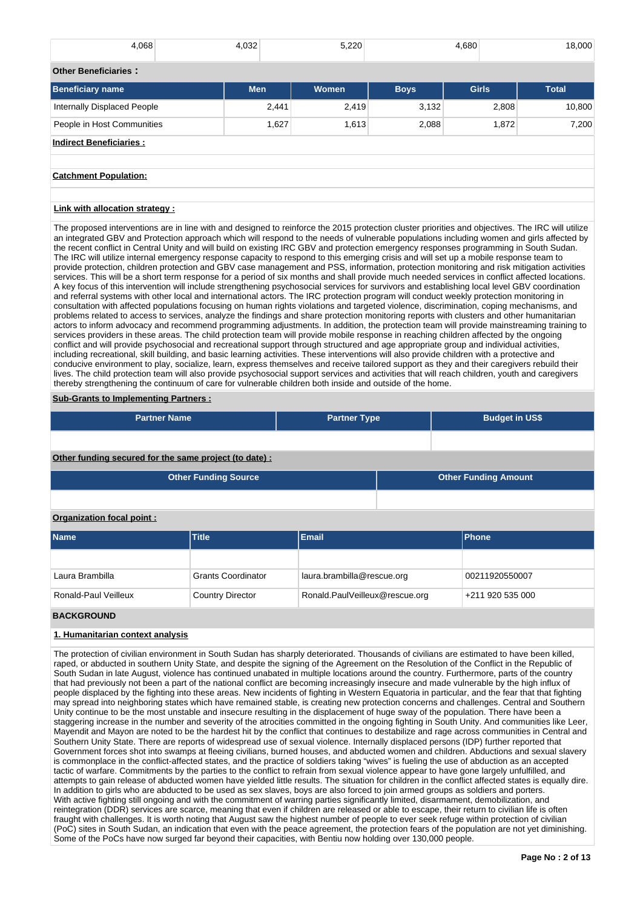| 4,068                           | 4,032      | 5,220          |             | 4,680        | 18,000       |
|---------------------------------|------------|----------------|-------------|--------------|--------------|
| <b>Other Beneficiaries:</b>     |            |                |             |              |              |
| Beneficiary name                | <b>Men</b> | <b>Women</b>   | <b>Boys</b> | <b>Girls</b> | <b>Total</b> |
| Internally Displaced People     |            | 2,441<br>2,419 | 3,132       | 2,808        | 10,800       |
| People in Host Communities      |            | 1,627<br>1,613 | 2,088       | 1,872        | 7,200        |
| <b>Indirect Beneficiaries:</b>  |            |                |             |              |              |
|                                 |            |                |             |              |              |
| <b>Catchment Population:</b>    |            |                |             |              |              |
|                                 |            |                |             |              |              |
| Link with allocation strategy : |            |                |             |              |              |

The proposed interventions are in line with and designed to reinforce the 2015 protection cluster priorities and objectives. The IRC will utilize an integrated GBV and Protection approach which will respond to the needs of vulnerable populations including women and girls affected by the recent conflict in Central Unity and will build on existing IRC GBV and protection emergency responses programming in South Sudan. The IRC will utilize internal emergency response capacity to respond to this emerging crisis and will set up a mobile response team to provide protection, children protection and GBV case management and PSS, information, protection monitoring and risk mitigation activities services. This will be a short term response for a period of six months and shall provide much needed services in conflict affected locations. A key focus of this intervention will include strengthening psychosocial services for survivors and establishing local level GBV coordination and referral systems with other local and international actors. The IRC protection program will conduct weekly protection monitoring in consultation with affected populations focusing on human rights violations and targeted violence, discrimination, coping mechanisms, and problems related to access to services, analyze the findings and share protection monitoring reports with clusters and other humanitarian actors to inform advocacy and recommend programming adjustments. In addition, the protection team will provide mainstreaming training to services providers in these areas. The child protection team will provide mobile response in reaching children affected by the ongoing conflict and will provide psychosocial and recreational support through structured and age appropriate group and individual activities, including recreational, skill building, and basic learning activities. These interventions will also provide children with a protective and conducive environment to play, socialize, learn, express themselves and receive tailored support as they and their caregivers rebuild their lives. The child protection team will also provide psychosocial support services and activities that will reach children, youth and caregivers thereby strengthening the continuum of care for vulnerable children both inside and outside of the home.

## **Sub-Grants to Implementing Partners :**

| <b>Partner Name</b>                                   | <b>Partner Type</b> | <b>Budget in US\$</b> |
|-------------------------------------------------------|---------------------|-----------------------|
|                                                       |                     |                       |
| Other funding secured for the same project (to date): |                     |                       |

|                           | <b>Other Funding Source</b> | <b>Other Funding Amount</b> |  |                |  |  |
|---------------------------|-----------------------------|-----------------------------|--|----------------|--|--|
|                           |                             |                             |  |                |  |  |
| Organization focal point: |                             |                             |  |                |  |  |
| <b>Name</b>               | <b>Title</b>                | <b>Email</b>                |  | <b>Phone</b>   |  |  |
|                           |                             |                             |  |                |  |  |
| Laura Brambilla           | <b>Grants Coordinator</b>   | laura.brambilla@rescue.org  |  | 00211920550007 |  |  |

Ronald-Paul Veilleux Country Director Ronald.PaulVeilleux@rescue.org +211 920 535 000

# **BACKGROUND**

# **1. Humanitarian context analysis**

The protection of civilian environment in South Sudan has sharply deteriorated. Thousands of civilians are estimated to have been killed, raped, or abducted in southern Unity State, and despite the signing of the Agreement on the Resolution of the Conflict in the Republic of South Sudan in late August, violence has continued unabated in multiple locations around the country. Furthermore, parts of the country that had previously not been a part of the national conflict are becoming increasingly insecure and made vulnerable by the high influx of people displaced by the fighting into these areas. New incidents of fighting in Western Equatoria in particular, and the fear that that fighting may spread into neighboring states which have remained stable, is creating new protection concerns and challenges. Central and Southern Unity continue to be the most unstable and insecure resulting in the displacement of huge sway of the population. There have been a staggering increase in the number and severity of the atrocities committed in the ongoing fighting in South Unity. And communities like Leer, Mayendit and Mayon are noted to be the hardest hit by the conflict that continues to destabilize and rage across communities in Central and Southern Unity State. There are reports of widespread use of sexual violence. Internally displaced persons (IDP) further reported that Government forces shot into swamps at fleeing civilians, burned houses, and abducted women and children. Abductions and sexual slavery is commonplace in the conflict-affected states, and the practice of soldiers taking "wives" is fueling the use of abduction as an accepted tactic of warfare. Commitments by the parties to the conflict to refrain from sexual violence appear to have gone largely unfulfilled, and attempts to gain release of abducted women have yielded little results. The situation for children in the conflict affected states is equally dire. In addition to girls who are abducted to be used as sex slaves, boys are also forced to join armed groups as soldiers and porters. With active fighting still ongoing and with the commitment of warring parties significantly limited, disarmament, demobilization, and reintegration (DDR) services are scarce, meaning that even if children are released or able to escape, their return to civilian life is often fraught with challenges. It is worth noting that August saw the highest number of people to ever seek refuge within protection of civilian (PoC) sites in South Sudan, an indication that even with the peace agreement, the protection fears of the population are not yet diminishing. Some of the PoCs have now surged far beyond their capacities, with Bentiu now holding over 130,000 people.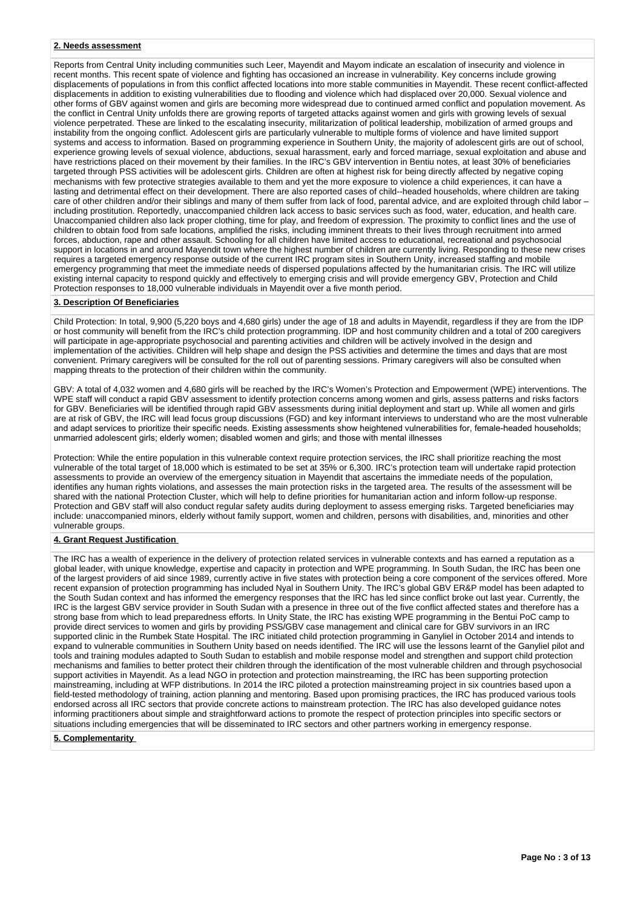#### **2. Needs assessment**

Reports from Central Unity including communities such Leer, Mayendit and Mayom indicate an escalation of insecurity and violence in recent months. This recent spate of violence and fighting has occasioned an increase in vulnerability. Key concerns include growing displacements of populations in from this conflict affected locations into more stable communities in Mayendit. These recent conflict-affected displacements in addition to existing vulnerabilities due to flooding and violence which had displaced over 20,000. Sexual violence and other forms of GBV against women and girls are becoming more widespread due to continued armed conflict and population movement. As the conflict in Central Unity unfolds there are growing reports of targeted attacks against women and girls with growing levels of sexual violence perpetrated. These are linked to the escalating insecurity, militarization of political leadership, mobilization of armed groups and instability from the ongoing conflict. Adolescent girls are particularly vulnerable to multiple forms of violence and have limited support systems and access to information. Based on programming experience in Southern Unity, the majority of adolescent girls are out of school, experience growing levels of sexual violence, abductions, sexual harassment, early and forced marriage, sexual exploitation and abuse and have restrictions placed on their movement by their families. In the IRC's GBV intervention in Bentiu notes, at least 30% of beneficiaries targeted through PSS activities will be adolescent girls. Children are often at highest risk for being directly affected by negative coping mechanisms with few protective strategies available to them and yet the more exposure to violence a child experiences, it can have a lasting and detrimental effect on their development. There are also reported cases of child--headed households, where children are taking care of other children and/or their siblings and many of them suffer from lack of food, parental advice, and are exploited through child labor – including prostitution. Reportedly, unaccompanied children lack access to basic services such as food, water, education, and health care. Unaccompanied children also lack proper clothing, time for play, and freedom of expression. The proximity to conflict lines and the use of children to obtain food from safe locations, amplified the risks, including imminent threats to their lives through recruitment into armed forces, abduction, rape and other assault. Schooling for all children have limited access to educational, recreational and psychosocial support in locations in and around Mayendit town where the highest number of children are currently living. Responding to these new crises requires a targeted emergency response outside of the current IRC program sites in Southern Unity, increased staffing and mobile emergency programming that meet the immediate needs of dispersed populations affected by the humanitarian crisis. The IRC will utilize existing internal capacity to respond quickly and effectively to emerging crisis and will provide emergency GBV, Protection and Child Protection responses to 18,000 vulnerable individuals in Mayendit over a five month period.

#### **3. Description Of Beneficiaries**

Child Protection: In total, 9,900 (5,220 boys and 4,680 girls) under the age of 18 and adults in Mayendit, regardless if they are from the IDP or host community will benefit from the IRC's child protection programming. IDP and host community children and a total of 200 caregivers will participate in age-appropriate psychosocial and parenting activities and children will be actively involved in the design and implementation of the activities. Children will help shape and design the PSS activities and determine the times and days that are most convenient. Primary caregivers will be consulted for the roll out of parenting sessions. Primary caregivers will also be consulted when mapping threats to the protection of their children within the community.

GBV: A total of 4,032 women and 4,680 girls will be reached by the IRC's Women's Protection and Empowerment (WPE) interventions. The WPE staff will conduct a rapid GBV assessment to identify protection concerns among women and girls, assess patterns and risks factors for GBV. Beneficiaries will be identified through rapid GBV assessments during initial deployment and start up. While all women and girls are at risk of GBV, the IRC will lead focus group discussions (FGD) and key informant interviews to understand who are the most vulnerable and adapt services to prioritize their specific needs. Existing assessments show heightened vulnerabilities for, female-headed households; unmarried adolescent girls; elderly women; disabled women and girls; and those with mental illnesses

Protection: While the entire population in this vulnerable context require protection services, the IRC shall prioritize reaching the most vulnerable of the total target of 18,000 which is estimated to be set at 35% or 6,300. IRC's protection team will undertake rapid protection assessments to provide an overview of the emergency situation in Mayendit that ascertains the immediate needs of the population, identifies any human rights violations, and assesses the main protection risks in the targeted area. The results of the assessment will be shared with the national Protection Cluster, which will help to define priorities for humanitarian action and inform follow-up response. Protection and GBV staff will also conduct regular safety audits during deployment to assess emerging risks. Targeted beneficiaries may include: unaccompanied minors, elderly without family support, women and children, persons with disabilities, and, minorities and other vulnerable groups.

# **4. Grant Request Justification**

The IRC has a wealth of experience in the delivery of protection related services in vulnerable contexts and has earned a reputation as a global leader, with unique knowledge, expertise and capacity in protection and WPE programming. In South Sudan, the IRC has been one of the largest providers of aid since 1989, currently active in five states with protection being a core component of the services offered. More recent expansion of protection programming has included Nyal in Southern Unity. The IRC's global GBV ER&P model has been adapted to the South Sudan context and has informed the emergency responses that the IRC has led since conflict broke out last year. Currently, the IRC is the largest GBV service provider in South Sudan with a presence in three out of the five conflict affected states and therefore has a strong base from which to lead preparedness efforts. In Unity State, the IRC has existing WPE programming in the Bentui PoC camp to provide direct services to women and girls by providing PSS/GBV case management and clinical care for GBV survivors in an IRC supported clinic in the Rumbek State Hospital. The IRC initiated child protection programming in Ganyliel in October 2014 and intends to expand to vulnerable communities in Southern Unity based on needs identified. The IRC will use the lessons learnt of the Ganyliel pilot and tools and training modules adapted to South Sudan to establish and mobile response model and strengthen and support child protection mechanisms and families to better protect their children through the identification of the most vulnerable children and through psychosocial support activities in Mayendit. As a lead NGO in protection and protection mainstreaming, the IRC has been supporting protection mainstreaming, including at WFP distributions. In 2014 the IRC piloted a protection mainstreaming project in six countries based upon a field-tested methodology of training, action planning and mentoring. Based upon promising practices, the IRC has produced various tools endorsed across all IRC sectors that provide concrete actions to mainstream protection. The IRC has also developed guidance notes informing practitioners about simple and straightforward actions to promote the respect of protection principles into specific sectors or situations including emergencies that will be disseminated to IRC sectors and other partners working in emergency response.

#### **5. Complementarity**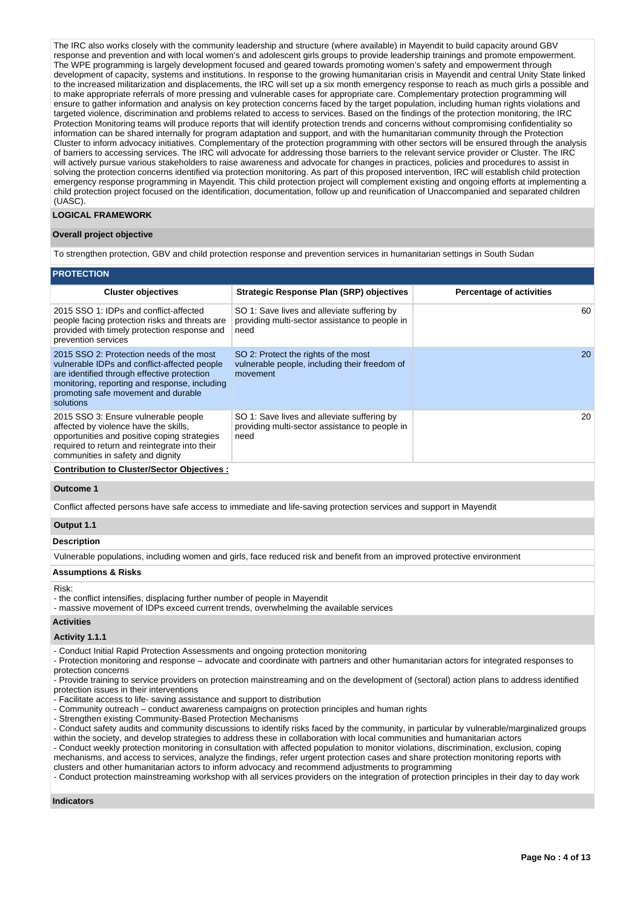The IRC also works closely with the community leadership and structure (where available) in Mayendit to build capacity around GBV response and prevention and with local women's and adolescent girls groups to provide leadership trainings and promote empowerment. The WPE programming is largely development focused and geared towards promoting women's safety and empowerment through development of capacity, systems and institutions. In response to the growing humanitarian crisis in Mayendit and central Unity State linked to the increased militarization and displacements, the IRC will set up a six month emergency response to reach as much girls a possible and to make appropriate referrals of more pressing and vulnerable cases for appropriate care. Complementary protection programming will ensure to gather information and analysis on key protection concerns faced by the target population, including human rights violations and targeted violence, discrimination and problems related to access to services. Based on the findings of the protection monitoring, the IRC Protection Monitoring teams will produce reports that will identify protection trends and concerns without compromising confidentiality so information can be shared internally for program adaptation and support, and with the humanitarian community through the Protection Cluster to inform advocacy initiatives. Complementary of the protection programming with other sectors will be ensured through the analysis of barriers to accessing services. The IRC will advocate for addressing those barriers to the relevant service provider or Cluster. The IRC will actively pursue various stakeholders to raise awareness and advocate for changes in practices, policies and procedures to assist in solving the protection concerns identified via protection monitoring. As part of this proposed intervention, IRC will establish child protection emergency response programming in Mayendit. This child protection project will complement existing and ongoing efforts at implementing a child protection project focused on the identification, documentation, follow up and reunification of Unaccompanied and separated children (UASC).

## **LOGICAL FRAMEWORK**

#### **Overall project objective**

To strengthen protection, GBV and child protection response and prevention services in humanitarian settings in South Sudan

## **PROTECTI**

| ------------                                                                                                                                                                                                                                 |                                                                                                       |                                 |
|----------------------------------------------------------------------------------------------------------------------------------------------------------------------------------------------------------------------------------------------|-------------------------------------------------------------------------------------------------------|---------------------------------|
| <b>Cluster objectives</b>                                                                                                                                                                                                                    | <b>Strategic Response Plan (SRP) objectives</b>                                                       | <b>Percentage of activities</b> |
| 2015 SSO 1: IDPs and conflict-affected<br>people facing protection risks and threats are<br>provided with timely protection response and<br>prevention services                                                                              | SO 1: Save lives and alleviate suffering by<br>providing multi-sector assistance to people in<br>need | 60                              |
| 2015 SSO 2: Protection needs of the most<br>vulnerable IDPs and conflict-affected people<br>are identified through effective protection<br>monitoring, reporting and response, including<br>promoting safe movement and durable<br>solutions | SO 2: Protect the rights of the most<br>vulnerable people, including their freedom of<br>movement     | 20                              |
| 2015 SSO 3: Ensure vulnerable people<br>affected by violence have the skills,<br>opportunities and positive coping strategies<br>required to return and reintegrate into their<br>communities in safety and dignity                          | SO 1: Save lives and alleviate suffering by<br>providing multi-sector assistance to people in<br>need | 20                              |
| <b>Contribution to Cluster/Sector Objectives:</b>                                                                                                                                                                                            |                                                                                                       |                                 |

# **Outcome 1**

Conflict affected persons have safe access to immediate and life-saving protection services and support in Mayendit

## **Output 1.1**

#### **Description**

Vulnerable populations, including women and girls, face reduced risk and benefit from an improved protective environment

#### **Assumptions & Risks**

#### Risk:

- the conflict intensifies, displacing further number of people in Mayendit

- massive movement of IDPs exceed current trends, overwhelming the available services

#### **Activities**

#### **Activity 1.1.1**

- Conduct Initial Rapid Protection Assessments and ongoing protection monitoring

- Protection monitoring and response – advocate and coordinate with partners and other humanitarian actors for integrated responses to protection concerns

- Provide training to service providers on protection mainstreaming and on the development of (sectoral) action plans to address identified protection issues in their interventions

- Facilitate access to life- saving assistance and support to distribution

- Community outreach – conduct awareness campaigns on protection principles and human rights

- Strengthen existing Community-Based Protection Mechanisms

- Conduct safety audits and community discussions to identify risks faced by the community, in particular by vulnerable/marginalized groups within the society, and develop strategies to address these in collaboration with local communities and humanitarian actors

- Conduct weekly protection monitoring in consultation with affected population to monitor violations, discrimination, exclusion, coping mechanisms, and access to services, analyze the findings, refer urgent protection cases and share protection monitoring reports with clusters and other humanitarian actors to inform advocacy and recommend adjustments to programming

- Conduct protection mainstreaming workshop with all services providers on the integration of protection principles in their day to day work

# **Indicators**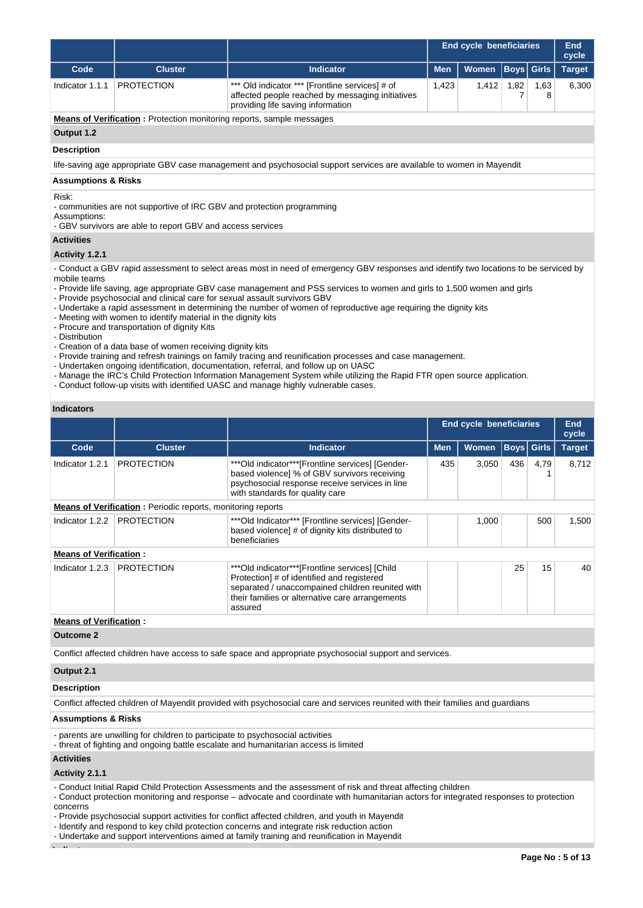|                                                                                                                                                                                                                                                                                  |                                                                              |                                                                                                                                                                                 | <b>End cycle beneficiaries</b> |              |                   | <b>End</b><br>cycle |               |  |
|----------------------------------------------------------------------------------------------------------------------------------------------------------------------------------------------------------------------------------------------------------------------------------|------------------------------------------------------------------------------|---------------------------------------------------------------------------------------------------------------------------------------------------------------------------------|--------------------------------|--------------|-------------------|---------------------|---------------|--|
| Code                                                                                                                                                                                                                                                                             | <b>Cluster</b>                                                               | <b>Indicator</b>                                                                                                                                                                | <b>Men</b>                     | <b>Women</b> | <b>Boys</b> Girls |                     | <b>Target</b> |  |
| Indicator 1.1.1                                                                                                                                                                                                                                                                  | <b>PROTECTION</b>                                                            | *** Old indicator *** [Frontline services] # of<br>1,412<br>1,423<br>1,82<br>1,63<br>affected people reached by messaging initiatives<br>8<br>providing life saving information |                                |              |                   |                     |               |  |
|                                                                                                                                                                                                                                                                                  | <b>Means of Verification:</b> Protection monitoring reports, sample messages |                                                                                                                                                                                 |                                |              |                   |                     |               |  |
| Output 1.2                                                                                                                                                                                                                                                                       |                                                                              |                                                                                                                                                                                 |                                |              |                   |                     |               |  |
| <b>Description</b>                                                                                                                                                                                                                                                               |                                                                              |                                                                                                                                                                                 |                                |              |                   |                     |               |  |
|                                                                                                                                                                                                                                                                                  |                                                                              | life-saving age appropriate GBV case management and psychosocial support services are available to women in Mayendit                                                            |                                |              |                   |                     |               |  |
| <b>Assumptions &amp; Risks</b>                                                                                                                                                                                                                                                   |                                                                              |                                                                                                                                                                                 |                                |              |                   |                     |               |  |
| Risk:<br>- communities are not supportive of IRC GBV and protection programming<br>Assumptions:<br>- GBV survivors are able to report GBV and access services                                                                                                                    |                                                                              |                                                                                                                                                                                 |                                |              |                   |                     |               |  |
| <b>Activities</b>                                                                                                                                                                                                                                                                |                                                                              |                                                                                                                                                                                 |                                |              |                   |                     |               |  |
| Activity 1.2.1                                                                                                                                                                                                                                                                   |                                                                              |                                                                                                                                                                                 |                                |              |                   |                     |               |  |
| - Conduct a GBV rapid assessment to select areas most in need of emergency GBV responses and identify two locations to be serviced by<br>mobile teams<br>- Provide life saving, age appropriate GBV case management and PSS services to women and girls to 1,500 women and girls |                                                                              |                                                                                                                                                                                 |                                |              |                   |                     |               |  |

- Provide psychosocial and clinical care for sexual assault survivors GBV
- Undertake a rapid assessment in determining the number of women of reproductive age requiring the dignity kits
- Meeting with women to identify material in the dignity kits
- Procure and transportation of dignity Kits
- Distribution
- Creation of a data base of women receiving dignity kits
- Provide training and refresh trainings on family tracing and reunification processes and case management.
- Undertaken ongoing identification, documentation, referral, and follow up on UASC
- Manage the IRC's Child Protection Information Management System while utilizing the Rapid FTR open source application.
- Conduct follow-up visits with identified UASC and manage highly vulnerable cases.

# **Indicators**

|                                                                    |                   |                                                                                                                                                                                                                |            | End cycle beneficiaries |             |      | <b>End</b><br>cycle |  |
|--------------------------------------------------------------------|-------------------|----------------------------------------------------------------------------------------------------------------------------------------------------------------------------------------------------------------|------------|-------------------------|-------------|------|---------------------|--|
| Code                                                               | <b>Cluster</b>    | <b>Indicator</b>                                                                                                                                                                                               | <b>Men</b> | <b>Women</b>            | Boys  Girls |      | <b>Target</b>       |  |
| Indicator 1.2.1                                                    | <b>PROTECTION</b> | ***Old indicator***[Frontline services] [Gender-<br>based violence] % of GBV survivors receiving<br>psychosocial response receive services in line<br>with standards for quality care                          | 435        | 3.050                   | 436         | 4.79 | 8.712               |  |
| <b>Means of Verification:</b> Periodic reports, monitoring reports |                   |                                                                                                                                                                                                                |            |                         |             |      |                     |  |
| Indicator 1.2.2                                                    | <b>PROTECTION</b> | *** Old Indicator*** [Frontline services] [Gender-<br>based violence] # of dignity kits distributed to<br>beneficiaries                                                                                        |            | 1,000                   |             | 500  | 1,500               |  |
| <b>Means of Verification:</b>                                      |                   |                                                                                                                                                                                                                |            |                         |             |      |                     |  |
| Indicator 1.2.3                                                    | <b>PROTECTION</b> | ***Old indicator***[Frontline services] [Child<br>Protection] # of identified and registered<br>separated / unaccompained children reunited with<br>their families or alternative care arrangements<br>assured |            |                         | 25          | 15   | 40                  |  |
| <b>Means of Verification:</b>                                      |                   |                                                                                                                                                                                                                |            |                         |             |      |                     |  |

## **Outcome 2**

Conflict affected children have access to safe space and appropriate psychosocial support and services.

# **Output 2.1**

#### **Description**

Conflict affected children of Mayendit provided with psychosocial care and services reunited with their families and guardians

#### **Assumptions & Risks**

- parents are unwilling for children to participate to psychosocial activities
- threat of fighting and ongoing battle escalate and humanitarian access is limited

#### **Activities**

**Activity 2.1.1** 

- Conduct Initial Rapid Child Protection Assessments and the assessment of risk and threat affecting children

- Conduct protection monitoring and response – advocate and coordinate with humanitarian actors for integrated responses to protection concerns

- Provide psychosocial support activities for conflict affected children, and youth in Mayendit

- Identify and respond to key child protection concerns and integrate risk reduction action

- Undertake and support interventions aimed at family training and reunification in Mayendit

**Indicators**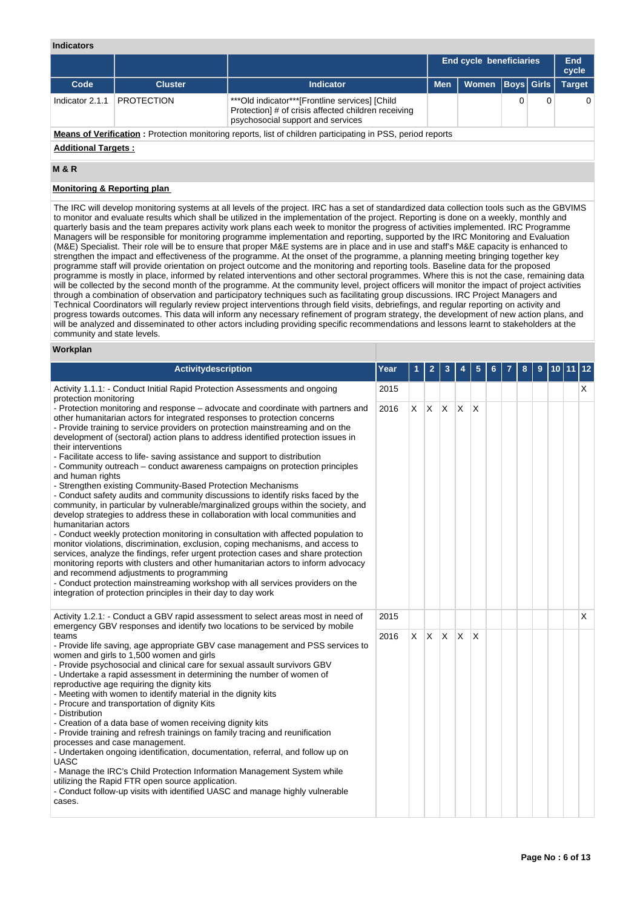## **Indicators**

|                                                                                                                                                                                      |                |           |            | <b>End cycle beneficiaries</b> |  |  | End<br>cycle  |
|--------------------------------------------------------------------------------------------------------------------------------------------------------------------------------------|----------------|-----------|------------|--------------------------------|--|--|---------------|
| Code                                                                                                                                                                                 | <b>Cluster</b> | Indicator | <b>Men</b> | Women   Boys   Girls           |  |  | <b>Target</b> |
| <b>PROTECTION</b><br>*** Old indicator*** [Frontline services] [Child<br>Indicator 2.1.1<br>Protection] # of crisis affected children receiving<br>psychosocial support and services |                |           |            |                                |  |  | 0             |
| Means of Verification: Protection monitoring reports, list of children participating in PSS, period reports                                                                          |                |           |            |                                |  |  |               |

## **Additional Targets :**

# **M & R**

# **Monitoring & Reporting plan**

The IRC will develop monitoring systems at all levels of the project. IRC has a set of standardized data collection tools such as the GBVIMS to monitor and evaluate results which shall be utilized in the implementation of the project. Reporting is done on a weekly, monthly and quarterly basis and the team prepares activity work plans each week to monitor the progress of activities implemented. IRC Programme Managers will be responsible for monitoring programme implementation and reporting, supported by the IRC Monitoring and Evaluation (M&E) Specialist. Their role will be to ensure that proper M&E systems are in place and in use and staff's M&E capacity is enhanced to strengthen the impact and effectiveness of the programme. At the onset of the programme, a planning meeting bringing together key programme staff will provide orientation on project outcome and the monitoring and reporting tools. Baseline data for the proposed programme is mostly in place, informed by related interventions and other sectoral programmes. Where this is not the case, remaining data will be collected by the second month of the programme. At the community level, project officers will monitor the impact of project activities through a combination of observation and participatory techniques such as facilitating group discussions. IRC Project Managers and Technical Coordinators will regularly review project interventions through field visits, debriefings, and regular reporting on activity and progress towards outcomes. This data will inform any necessary refinement of program strategy, the development of new action plans, and will be analyzed and disseminated to other actors including providing specific recommendations and lessons learnt to stakeholders at the community and state levels.

## **Workplan**

| <b>Activitydescription</b>                                                                                                                                                                                                                                                                                                                                                                                                                                                                                                                                                                                                                                                                                                                                                                                                                                                                                                                                                                                                                                                                                                                                                                                                                                                                                                                                                                                                                        | Year |    | 2   | 3            |              | 5 |  | 8 | 9 |  | 12 |
|---------------------------------------------------------------------------------------------------------------------------------------------------------------------------------------------------------------------------------------------------------------------------------------------------------------------------------------------------------------------------------------------------------------------------------------------------------------------------------------------------------------------------------------------------------------------------------------------------------------------------------------------------------------------------------------------------------------------------------------------------------------------------------------------------------------------------------------------------------------------------------------------------------------------------------------------------------------------------------------------------------------------------------------------------------------------------------------------------------------------------------------------------------------------------------------------------------------------------------------------------------------------------------------------------------------------------------------------------------------------------------------------------------------------------------------------------|------|----|-----|--------------|--------------|---|--|---|---|--|----|
| Activity 1.1.1: - Conduct Initial Rapid Protection Assessments and ongoing<br>protection monitoring                                                                                                                                                                                                                                                                                                                                                                                                                                                                                                                                                                                                                                                                                                                                                                                                                                                                                                                                                                                                                                                                                                                                                                                                                                                                                                                                               | 2015 |    |     |              |              |   |  |   |   |  | X. |
| - Protection monitoring and response – advocate and coordinate with partners and<br>other humanitarian actors for integrated responses to protection concerns<br>- Provide training to service providers on protection mainstreaming and on the<br>development of (sectoral) action plans to address identified protection issues in<br>their interventions<br>- Facilitate access to life-saving assistance and support to distribution<br>- Community outreach – conduct awareness campaigns on protection principles<br>and human rights<br>- Strengthen existing Community-Based Protection Mechanisms<br>- Conduct safety audits and community discussions to identify risks faced by the<br>community, in particular by vulnerable/marginalized groups within the society, and<br>develop strategies to address these in collaboration with local communities and<br>humanitarian actors<br>- Conduct weekly protection monitoring in consultation with affected population to<br>monitor violations, discrimination, exclusion, coping mechanisms, and access to<br>services, analyze the findings, refer urgent protection cases and share protection<br>monitoring reports with clusters and other humanitarian actors to inform advocacy<br>and recommend adjustments to programming<br>- Conduct protection mainstreaming workshop with all services providers on the<br>integration of protection principles in their day to day work | 2016 | X. | ΙX. | $\mathsf{X}$ | $\mathsf{X}$ | X |  |   |   |  |    |
| Activity 1.2.1: - Conduct a GBV rapid assessment to select areas most in need of<br>emergency GBV responses and identify two locations to be serviced by mobile                                                                                                                                                                                                                                                                                                                                                                                                                                                                                                                                                                                                                                                                                                                                                                                                                                                                                                                                                                                                                                                                                                                                                                                                                                                                                   | 2015 |    |     |              |              |   |  |   |   |  | X  |
| teams<br>- Provide life saving, age appropriate GBV case management and PSS services to<br>women and girls to 1,500 women and girls<br>- Provide psychosocial and clinical care for sexual assault survivors GBV<br>- Undertake a rapid assessment in determining the number of women of<br>reproductive age requiring the dignity kits<br>- Meeting with women to identify material in the dignity kits<br>- Procure and transportation of dignity Kits<br>- Distribution<br>- Creation of a data base of women receiving dignity kits<br>- Provide training and refresh trainings on family tracing and reunification<br>processes and case management.<br>- Undertaken ongoing identification, documentation, referral, and follow up on<br>UASC<br>- Manage the IRC's Child Protection Information Management System while<br>utilizing the Rapid FTR open source application.<br>- Conduct follow-up visits with identified UASC and manage highly vulnerable<br>cases.                                                                                                                                                                                                                                                                                                                                                                                                                                                                      | 2016 | X. | ΙX. | $\mathsf{X}$ | $\mathsf{X}$ | X |  |   |   |  |    |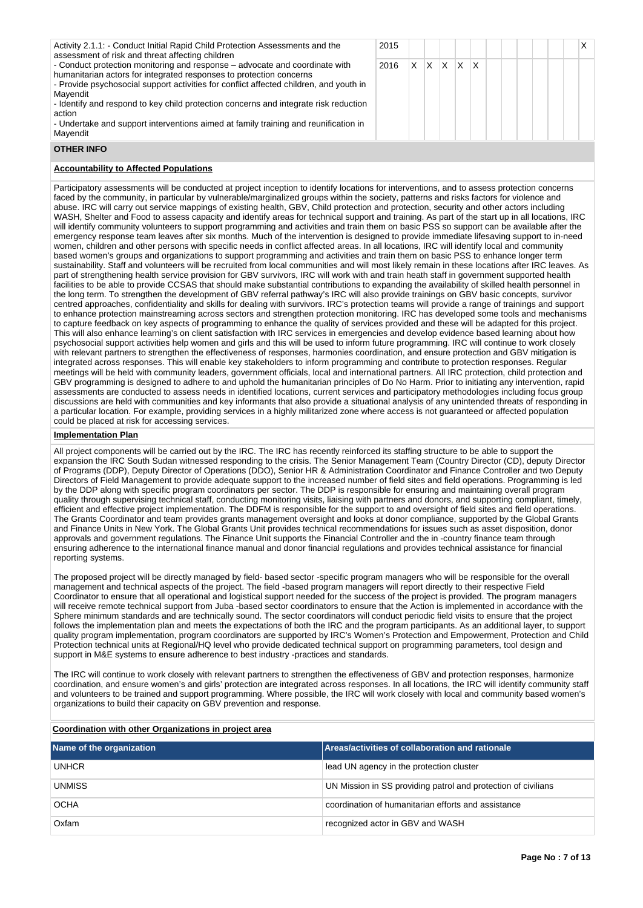| Activity 2.1.1: - Conduct Initial Rapid Child Protection Assessments and the<br>assessment of risk and threat affecting children                                                                                                                                                                                                                                                                                                                              | 2015 |   |   |   |    |    |  |  |  |
|---------------------------------------------------------------------------------------------------------------------------------------------------------------------------------------------------------------------------------------------------------------------------------------------------------------------------------------------------------------------------------------------------------------------------------------------------------------|------|---|---|---|----|----|--|--|--|
| - Conduct protection monitoring and response – advocate and coordinate with<br>humanitarian actors for integrated responses to protection concerns<br>- Provide psychosocial support activities for conflict affected children, and youth in<br>Mayendit<br>- Identify and respond to key child protection concerns and integrate risk reduction<br>action<br>- Undertake and support interventions aimed at family training and reunification in<br>Mayendit | 2016 | x | X | x | ΙX | ΙX |  |  |  |
|                                                                                                                                                                                                                                                                                                                                                                                                                                                               |      |   |   |   |    |    |  |  |  |

#### **OTHER INFO**

## **Accountability to Affected Populations**

Participatory assessments will be conducted at project inception to identify locations for interventions, and to assess protection concerns faced by the community, in particular by vulnerable/marginalized groups within the society, patterns and risks factors for violence and abuse. IRC will carry out service mappings of existing health, GBV, Child protection and protection, security and other actors including WASH, Shelter and Food to assess capacity and identify areas for technical support and training. As part of the start up in all locations, IRC will identify community volunteers to support programming and activities and train them on basic PSS so support can be available after the emergency response team leaves after six months. Much of the intervention is designed to provide immediate lifesaving support to in-need women, children and other persons with specific needs in conflict affected areas. In all locations, IRC will identify local and community based women's groups and organizations to support programming and activities and train them on basic PSS to enhance longer term sustainability. Staff and volunteers will be recruited from local communities and will most likely remain in these locations after IRC leaves. As part of strengthening health service provision for GBV survivors, IRC will work with and train heath staff in government supported health facilities to be able to provide CCSAS that should make substantial contributions to expanding the availability of skilled health personnel in the long term. To strengthen the development of GBV referral pathway's IRC will also provide trainings on GBV basic concepts, survivor centred approaches, confidentiality and skills for dealing with survivors. IRC's protection teams will provide a range of trainings and support to enhance protection mainstreaming across sectors and strengthen protection monitoring. IRC has developed some tools and mechanisms to capture feedback on key aspects of programming to enhance the quality of services provided and these will be adapted for this project. This will also enhance learning's on client satisfaction with IRC services in emergencies and develop evidence based learning about how psychosocial support activities help women and girls and this will be used to inform future programming. IRC will continue to work closely with relevant partners to strengthen the effectiveness of responses, harmonies coordination, and ensure protection and GBV mitigation is integrated across responses. This will enable key stakeholders to inform programming and contribute to protection responses. Regular meetings will be held with community leaders, government officials, local and international partners. All IRC protection, child protection and GBV programming is designed to adhere to and uphold the humanitarian principles of Do No Harm. Prior to initiating any intervention, rapid assessments are conducted to assess needs in identified locations, current services and participatory methodologies including focus group discussions are held with communities and key informants that also provide a situational analysis of any unintended threats of responding in a particular location. For example, providing services in a highly militarized zone where access is not guaranteed or affected population could be placed at risk for accessing services.

#### **Implementation Plan**

All project components will be carried out by the IRC. The IRC has recently reinforced its staffing structure to be able to support the expansion the IRC South Sudan witnessed responding to the crisis. The Senior Management Team (Country Director (CD), deputy Director of Programs (DDP), Deputy Director of Operations (DDO), Senior HR & Administration Coordinator and Finance Controller and two Deputy Directors of Field Management to provide adequate support to the increased number of field sites and field operations. Programming is led by the DDP along with specific program coordinators per sector. The DDP is responsible for ensuring and maintaining overall program quality through supervising technical staff, conducting monitoring visits, liaising with partners and donors, and supporting compliant, timely, efficient and effective project implementation. The DDFM is responsible for the support to and oversight of field sites and field operations. The Grants Coordinator and team provides grants management oversight and looks at donor compliance, supported by the Global Grants and Finance Units in New York. The Global Grants Unit provides technical recommendations for issues such as asset disposition, donor approvals and government regulations. The Finance Unit supports the Financial Controller and the in -country finance team through ensuring adherence to the international finance manual and donor financial regulations and provides technical assistance for financial reporting systems.

The proposed project will be directly managed by field- based sector -specific program managers who will be responsible for the overall management and technical aspects of the project. The field -based program managers will report directly to their respective Field Coordinator to ensure that all operational and logistical support needed for the success of the project is provided. The program managers will receive remote technical support from Juba -based sector coordinators to ensure that the Action is implemented in accordance with the Sphere minimum standards and are technically sound. The sector coordinators will conduct periodic field visits to ensure that the project follows the implementation plan and meets the expectations of both the IRC and the program participants. As an additional layer, to support quality program implementation, program coordinators are supported by IRC's Women's Protection and Empowerment, Protection and Child Protection technical units at Regional/HQ level who provide dedicated technical support on programming parameters, tool design and support in M&E systems to ensure adherence to best industry -practices and standards.

The IRC will continue to work closely with relevant partners to strengthen the effectiveness of GBV and protection responses, harmonize coordination, and ensure women's and girls' protection are integrated across responses. In all locations, the IRC will identify community staff and volunteers to be trained and support programming. Where possible, the IRC will work closely with local and community based women's organizations to build their capacity on GBV prevention and response.

## **Coordination with other Organizations in project area**

| Name of the organization | <b>Areas/activities of collaboration and rationale</b>        |
|--------------------------|---------------------------------------------------------------|
| <b>UNHCR</b>             | lead UN agency in the protection cluster                      |
| <b>UNMISS</b>            | UN Mission in SS providing patrol and protection of civilians |
| <b>OCHA</b>              | coordination of humanitarian efforts and assistance           |
| Oxfam                    | recognized actor in GBV and WASH                              |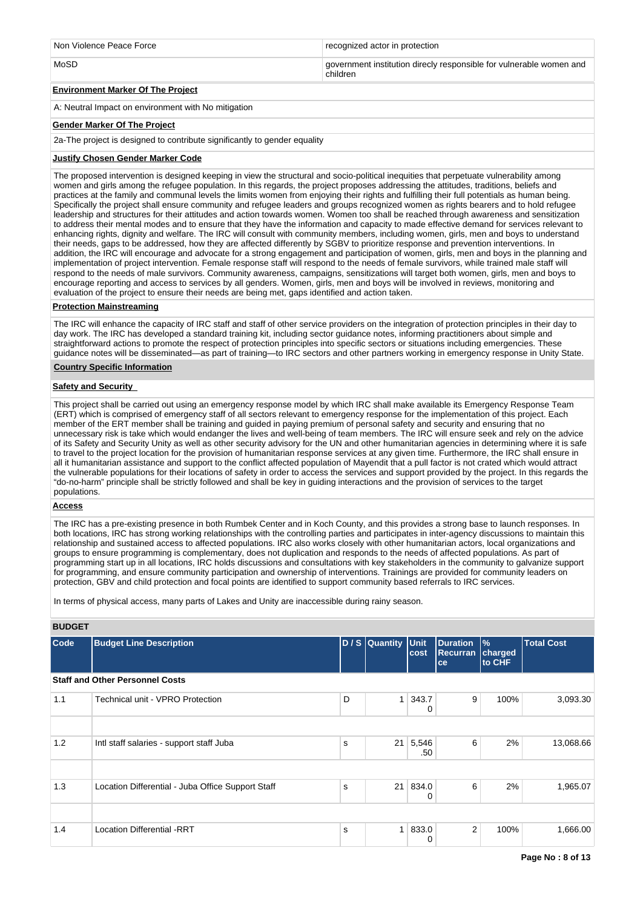| Non Violence Peace Force | recognized actor in protection                                                  |  |  |  |  |
|--------------------------|---------------------------------------------------------------------------------|--|--|--|--|
| MoSD                     | government institution direcly responsible for vulnerable women and<br>children |  |  |  |  |

# **Environment Marker Of The Project**

A: Neutral Impact on environment with No mitigation

## **Gender Marker Of The Project**

2a-The project is designed to contribute significantly to gender equality

## **Justify Chosen Gender Marker Code**

The proposed intervention is designed keeping in view the structural and socio-political inequities that perpetuate vulnerability among women and girls among the refugee population. In this regards, the project proposes addressing the attitudes, traditions, beliefs and practices at the family and communal levels the limits women from enjoying their rights and fulfilling their full potentials as human being. Specifically the project shall ensure community and refugee leaders and groups recognized women as rights bearers and to hold refugee leadership and structures for their attitudes and action towards women. Women too shall be reached through awareness and sensitization to address their mental modes and to ensure that they have the information and capacity to made effective demand for services relevant to enhancing rights, dignity and welfare. The IRC will consult with community members, including women, girls, men and boys to understand their needs, gaps to be addressed, how they are affected differently by SGBV to prioritize response and prevention interventions. In addition, the IRC will encourage and advocate for a strong engagement and participation of women, girls, men and boys in the planning and implementation of project intervention. Female response staff will respond to the needs of female survivors, while trained male staff will respond to the needs of male survivors. Community awareness, campaigns, sensitizations will target both women, girls, men and boys to encourage reporting and access to services by all genders. Women, girls, men and boys will be involved in reviews, monitoring and evaluation of the project to ensure their needs are being met, gaps identified and action taken.

#### **Protection Mainstreaming**

The IRC will enhance the capacity of IRC staff and staff of other service providers on the integration of protection principles in their day to day work. The IRC has developed a standard training kit, including sector guidance notes, informing practitioners about simple and straightforward actions to promote the respect of protection principles into specific sectors or situations including emergencies. These guidance notes will be disseminated—as part of training—to IRC sectors and other partners working in emergency response in Unity State.

## **Country Specific Information**

## **Safety and Security**

This project shall be carried out using an emergency response model by which IRC shall make available its Emergency Response Team (ERT) which is comprised of emergency staff of all sectors relevant to emergency response for the implementation of this project. Each member of the ERT member shall be training and guided in paying premium of personal safety and security and ensuring that no unnecessary risk is take which would endanger the lives and well-being of team members. The IRC will ensure seek and rely on the advice of its Safety and Security Unity as well as other security advisory for the UN and other humanitarian agencies in determining where it is safe to travel to the project location for the provision of humanitarian response services at any given time. Furthermore, the IRC shall ensure in all it humanitarian assistance and support to the conflict affected population of Mayendit that a pull factor is not crated which would attract the vulnerable populations for their locations of safety in order to access the services and support provided by the project. In this regards the "do-no-harm" principle shall be strictly followed and shall be key in guiding interactions and the provision of services to the target populations.

## **Access**

The IRC has a pre-existing presence in both Rumbek Center and in Koch County, and this provides a strong base to launch responses. In both locations, IRC has strong working relationships with the controlling parties and participates in inter-agency discussions to maintain this relationship and sustained access to affected populations. IRC also works closely with other humanitarian actors, local organizations and groups to ensure programming is complementary, does not duplication and responds to the needs of affected populations. As part of programming start up in all locations, IRC holds discussions and consultations with key stakeholders in the community to galvanize support for programming, and ensure community participation and ownership of interventions. Trainings are provided for community leaders on protection, GBV and child protection and focal points are identified to support community based referrals to IRC services.

In terms of physical access, many parts of Lakes and Unity are inaccessible during rainy season.

#### **BUDGET**

| <b>Code</b> | <b>Budget Line Description</b>                    |   | D / S Quantity Unit | cost         | <b>Duration</b><br><b>Recurran</b><br>ce | $\frac{9}{6}$<br>charged<br>to CHF | <b>Total Cost</b> |
|-------------|---------------------------------------------------|---|---------------------|--------------|------------------------------------------|------------------------------------|-------------------|
|             | <b>Staff and Other Personnel Costs</b>            |   |                     |              |                                          |                                    |                   |
| 1.1         | Technical unit - VPRO Protection                  | D | $\mathbf{1}$        | 343.7<br>0   | 9                                        | 100%                               | 3,093.30          |
|             |                                                   |   |                     |              |                                          |                                    |                   |
| 1.2         | Intl staff salaries - support staff Juba          | s | 21                  | 5,546<br>.50 | 6                                        | 2%                                 | 13,068.66         |
|             |                                                   |   |                     |              |                                          |                                    |                   |
| 1.3         | Location Differential - Juba Office Support Staff | s | 21                  | 834.0<br>0   | 6                                        | 2%                                 | 1,965.07          |
|             |                                                   |   |                     |              |                                          |                                    |                   |
| 1.4         | <b>Location Differential -RRT</b>                 | s | 1                   | 833.0<br>0   | 2                                        | 100%                               | 1,666.00          |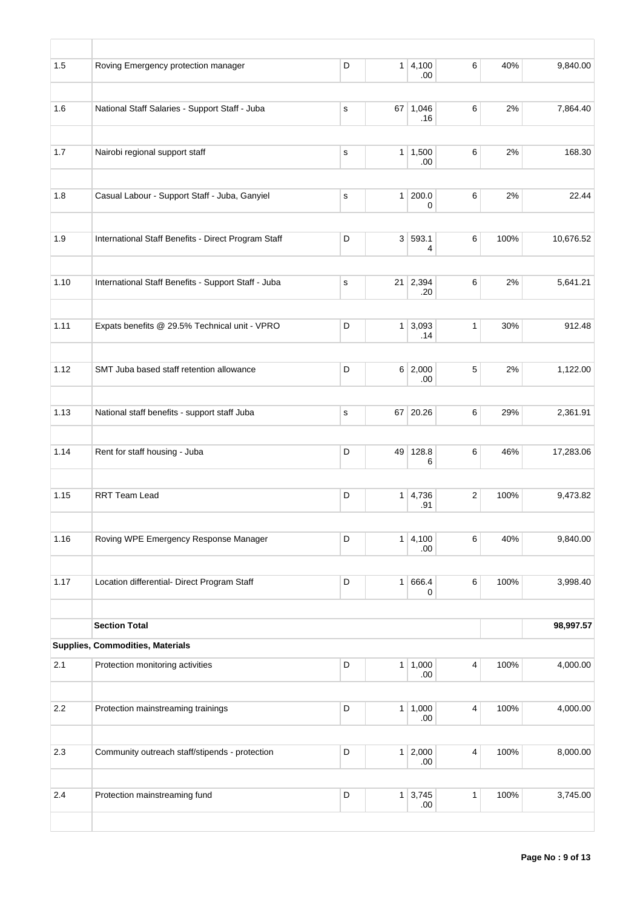| 1.5  | Roving Emergency protection manager                 | D           |    | 1   4,100<br>.00       | 6                       | 40%  | 9,840.00  |
|------|-----------------------------------------------------|-------------|----|------------------------|-------------------------|------|-----------|
|      |                                                     |             |    |                        |                         |      |           |
| 1.6  | National Staff Salaries - Support Staff - Juba      | $\mathbf s$ |    | $67$ 1,046<br>.16      | 6                       | 2%   | 7,864.40  |
| 1.7  | Nairobi regional support staff                      | $\mathbf s$ |    | 1 1,500<br>.00         | 6                       | 2%   | 168.30    |
| 1.8  | Casual Labour - Support Staff - Juba, Ganyiel       | $\mathbf S$ |    | 1 200.0<br>0           | 6                       | 2%   | 22.44     |
|      |                                                     |             |    |                        |                         |      |           |
| 1.9  | International Staff Benefits - Direct Program Staff | D           |    | 3 593.1<br>4           | $\,6\,$                 | 100% | 10,676.52 |
| 1.10 | International Staff Benefits - Support Staff - Juba | $\mathbf s$ |    | $21 \mid 2,394$<br>.20 | 6                       | 2%   | 5,641.21  |
|      |                                                     |             |    |                        |                         |      |           |
| 1.11 | Expats benefits @ 29.5% Technical unit - VPRO       | D           |    | $1 \mid 3,093$<br>.14  | $\mathbf{1}$            | 30%  | 912.48    |
| 1.12 | SMT Juba based staff retention allowance            | D           |    | 6 2,000<br>.00         | 5                       | 2%   | 1,122.00  |
|      |                                                     |             |    |                        |                         |      |           |
| 1.13 | National staff benefits - support staff Juba        | $\mathbf S$ |    | 67 20.26               | 6                       | 29%  | 2,361.91  |
| 1.14 | Rent for staff housing - Juba                       | D           | 49 | 128.8<br>6             | 6                       | 46%  | 17,283.06 |
| 1.15 | <b>RRT Team Lead</b>                                | D           |    | $1 \mid 4,736$<br>.91  | $\mathbf 2$             | 100% | 9,473.82  |
|      |                                                     |             |    |                        |                         |      |           |
| 1.16 | Roving WPE Emergency Response Manager               | D           |    | 1 4,100<br>.00.        | 6                       | 40%  | 9,840.00  |
| 1.17 | Location differential- Direct Program Staff         | D           |    | 1 666.4                | 6                       | 100% | 3,998.40  |
|      |                                                     |             |    | 0                      |                         |      |           |
|      | <b>Section Total</b>                                |             |    |                        |                         |      | 98,997.57 |
|      | Supplies, Commodities, Materials                    |             |    |                        |                         |      |           |
| 2.1  | Protection monitoring activities                    | D           |    | 1 1,000<br>.00.        | $\overline{\mathbf{4}}$ | 100% | 4,000.00  |
| 2.2  | Protection mainstreaming trainings                  | $\mathsf D$ |    | 1 1,000<br>.00.        | $\overline{\mathbf{4}}$ | 100% | 4,000.00  |
|      |                                                     |             |    |                        |                         |      |           |
| 2.3  | Community outreach staff/stipends - protection      | D           |    | 1 2,000<br>.00         | $\overline{4}$          | 100% | 8,000.00  |
| 2.4  | Protection mainstreaming fund                       | $\mathsf D$ |    | $1 \mid 3,745$         | $\mathbf{1}$            | 100% | 3,745.00  |
|      |                                                     |             |    | .00.                   |                         |      |           |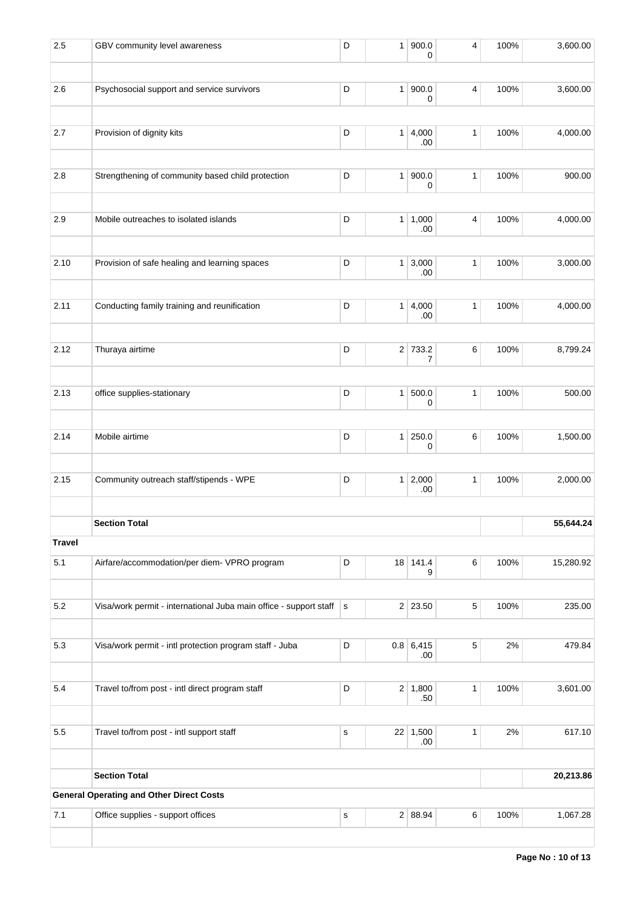| 2.5                  | GBV community level awareness                                       | D            | 1              | 900.0<br>0              | 4            | 100% | 3,600.00  |
|----------------------|---------------------------------------------------------------------|--------------|----------------|-------------------------|--------------|------|-----------|
| 2.6                  | Psychosocial support and service survivors                          | D            | 1 <sup>1</sup> | 900.0<br>0              | 4            | 100% | 3,600.00  |
| 2.7                  | Provision of dignity kits                                           | D            |                | 1 4,000<br>.00          | $\mathbf{1}$ | 100% | 4,000.00  |
| 2.8                  | Strengthening of community based child protection                   | D            | 1 <sup>1</sup> | 900.0<br>0              | 1            | 100% | 900.00    |
| 2.9                  | Mobile outreaches to isolated islands                               | D            |                | 1   1,000<br>.00        | 4            | 100% | 4,000.00  |
| 2.10                 | Provision of safe healing and learning spaces                       | D            |                | $1 \mid 3,000$<br>.00   | $\mathbf{1}$ | 100% | 3,000.00  |
| 2.11                 | Conducting family training and reunification                        | D            | 1 <sup>1</sup> | 4,000<br>.00            | $\mathbf{1}$ | 100% | 4,000.00  |
| 2.12                 | Thuraya airtime                                                     | D            |                | 2 733.2<br>7            | 6            | 100% | 8,799.24  |
| 2.13                 | office supplies-stationary                                          | D            | 1              | 500.0<br>0              | 1            | 100% | 500.00    |
| 2.14                 | Mobile airtime                                                      | D            |                | 1 250.0<br>0            | 6            | 100% | 1,500.00  |
| 2.15                 | Community outreach staff/stipends - WPE                             | D            |                | 1 2,000<br>.00          | 1            | 100% | 2,000.00  |
|                      | <b>Section Total</b>                                                |              |                |                         |              |      | 55,644.24 |
| <b>Travel</b><br>5.1 | Airfare/accommodation/per diem- VPRO program                        | D            |                | 18 141.4<br>9           | 6            | 100% | 15,280.92 |
| 5.2                  | Visa/work permit - international Juba main office - support staff s |              |                | 2 23.50                 | 5            | 100% | 235.00    |
| 5.3                  | Visa/work permit - intl protection program staff - Juba             | D            |                | 0.8   6,415<br>.00      | 5            | 2%   | 479.84    |
| 5.4                  | Travel to/from post - intl direct program staff                     | D            |                | $2 \mid 1,800$<br>.50   | $\mathbf{1}$ | 100% | 3,601.00  |
| 5.5                  | Travel to/from post - intl support staff                            | $\mathbf s$  |                | $22 \mid 1,500$<br>.00. | 1            | 2%   | 617.10    |
|                      | <b>Section Total</b>                                                |              |                |                         |              |      | 20,213.86 |
|                      | <b>General Operating and Other Direct Costs</b>                     |              |                |                         |              |      |           |
| 7.1                  | Office supplies - support offices                                   | $\mathsf{s}$ |                | 2 88.94                 | 6            | 100% | 1,067.28  |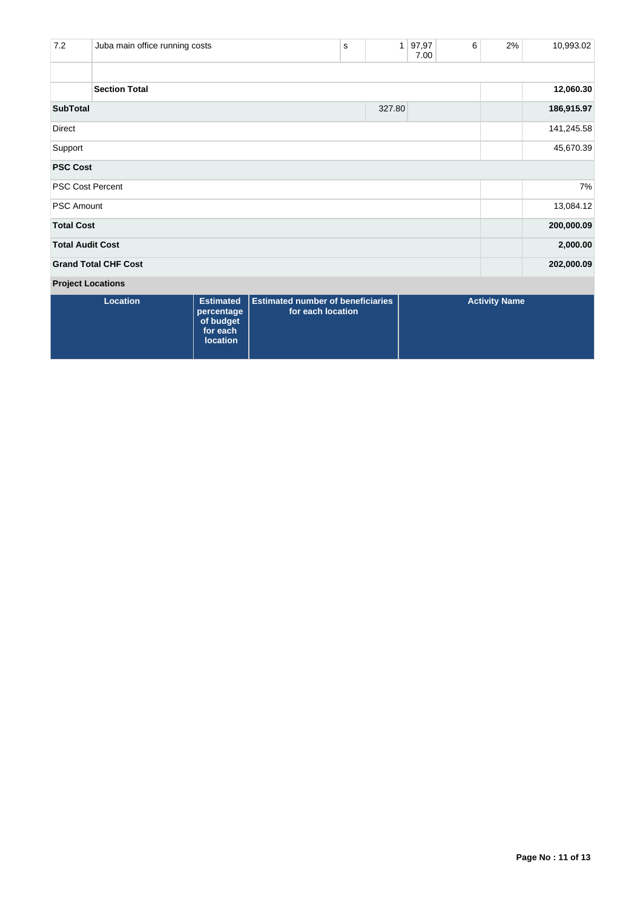| 7.2                     | Juba main office running costs |                                |                                                               | s | $\mathbf{1}$ | 97,97<br>7.00 | 6 | 2%                   | 10,993.02  |
|-------------------------|--------------------------------|--------------------------------|---------------------------------------------------------------|---|--------------|---------------|---|----------------------|------------|
|                         | <b>Section Total</b>           |                                |                                                               |   |              |               |   |                      | 12,060.30  |
| <b>SubTotal</b>         |                                |                                |                                                               |   | 327.80       |               |   |                      | 186,915.97 |
| Direct                  |                                |                                |                                                               |   |              |               |   |                      | 141,245.58 |
| Support                 |                                |                                |                                                               |   |              |               |   |                      | 45,670.39  |
| <b>PSC Cost</b>         |                                |                                |                                                               |   |              |               |   |                      |            |
|                         | <b>PSC Cost Percent</b>        |                                |                                                               |   |              |               |   |                      | 7%         |
| <b>PSC Amount</b>       |                                |                                |                                                               |   |              |               |   |                      | 13,084.12  |
| <b>Total Cost</b>       |                                |                                |                                                               |   |              |               |   |                      | 200,000.09 |
| <b>Total Audit Cost</b> |                                |                                |                                                               |   |              |               |   |                      | 2,000.00   |
|                         | <b>Grand Total CHF Cost</b>    |                                |                                                               |   |              |               |   |                      | 202,000.09 |
|                         | <b>Project Locations</b>       |                                |                                                               |   |              |               |   |                      |            |
|                         | Location                       | <b>Estimated</b><br>norcontago | <b>Estimated number of beneficiaries</b><br>for each location |   |              |               |   | <b>Activity Name</b> |            |

| Location | percentage<br>of budget<br>for each<br><b>location</b> | <b>Estimated</b>   Estimated number of beneficiaries  <br>for each location | <b>Activity Name</b> |
|----------|--------------------------------------------------------|-----------------------------------------------------------------------------|----------------------|
|          |                                                        |                                                                             |                      |